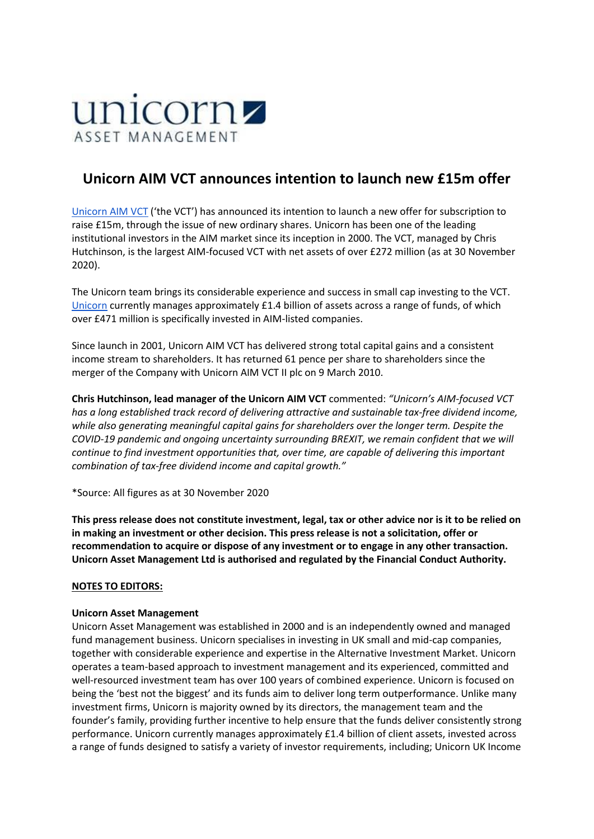

## **Unicorn AIM VCT announces intention to launch new £15m offer**

[Unicorn AIM VCT](https://gbr01.safelinks.protection.outlook.com/?url=http%3A%2F%2Fwww.unicornaimvct.co.uk%2F&data=04%7C01%7CSPlevnik%40sharecomms.co.uk%7C318a3e351c1c4fba451308d8a0c8dd7e%7C151c792fcfe64ee1b0dbf4171ac92c73%7C0%7C0%7C637436131853932055%7CUnknown%7CTWFpbGZsb3d8eyJWIjoiMC4wLjAwMDAiLCJQIjoiV2luMzIiLCJBTiI6Ik1haWwiLCJXVCI6Mn0%3D%7C1000&sdata=%2FWriIYrv5RwTDzqCgE7Bx%2F9KazCVmG%2FS8bvORHxHxA0%3D&reserved=0) ('the VCT') has announced its intention to launch a new offer for subscription to raise £15m, through the issue of new ordinary shares. Unicorn has been one of the leading institutional investors in the AIM market since its inception in 2000. The VCT, managed by Chris Hutchinson, is the largest AIM-focused VCT with net assets of over £272 million (as at 30 November 2020).

The Unicorn team brings its considerable experience and success in small cap investing to the VCT. [Unicorn](https://gbr01.safelinks.protection.outlook.com/?url=https%3A%2F%2Fwww.unicornam.com%2F&data=04%7C01%7CSPlevnik%40sharecomms.co.uk%7C318a3e351c1c4fba451308d8a0c8dd7e%7C151c792fcfe64ee1b0dbf4171ac92c73%7C0%7C0%7C637436131853942048%7CUnknown%7CTWFpbGZsb3d8eyJWIjoiMC4wLjAwMDAiLCJQIjoiV2luMzIiLCJBTiI6Ik1haWwiLCJXVCI6Mn0%3D%7C1000&sdata=ucDYDuXK6tkVEfaVNLDbftr%2F1INpBdDmLiUU%2Bf8nclU%3D&reserved=0) currently manages approximately £1.4 billion of assets across a range of funds, of which over £471 million is specifically invested in AIM-listed companies.

Since launch in 2001, Unicorn AIM VCT has delivered strong total capital gains and a consistent income stream to shareholders. It has returned 61 pence per share to shareholders since the merger of the Company with Unicorn AIM VCT II plc on 9 March 2010.

**Chris Hutchinson, lead manager of the Unicorn AIM VCT** commented: *"Unicorn's AIM-focused VCT has a long established track record of delivering attractive and sustainable tax-free dividend income, while also generating meaningful capital gains for shareholders over the longer term. Despite the COVID-19 pandemic and ongoing uncertainty surrounding BREXIT, we remain confident that we will continue to find investment opportunities that, over time, are capable of delivering this important combination of tax-free dividend income and capital growth."*

\*Source: All figures as at 30 November 2020

**This press release does not constitute investment, legal, tax or other advice nor is it to be relied on in making an investment or other decision. This press release is not a solicitation, offer or recommendation to acquire or dispose of any investment or to engage in any other transaction. Unicorn Asset Management Ltd is authorised and regulated by the Financial Conduct Authority.**

## **NOTES TO EDITORS:**

## **Unicorn Asset Management**

Unicorn Asset Management was established in 2000 and is an independently owned and managed fund management business. Unicorn specialises in investing in UK small and mid-cap companies, together with considerable experience and expertise in the Alternative Investment Market. Unicorn operates a team-based approach to investment management and its experienced, committed and well-resourced investment team has over 100 years of combined experience. Unicorn is focused on being the 'best not the biggest' and its funds aim to deliver long term outperformance. Unlike many investment firms, Unicorn is majority owned by its directors, the management team and the founder's family, providing further incentive to help ensure that the funds deliver consistently strong performance. Unicorn currently manages approximately £1.4 billion of client assets, invested across a range of funds designed to satisfy a variety of investor requirements, including; Unicorn UK Income